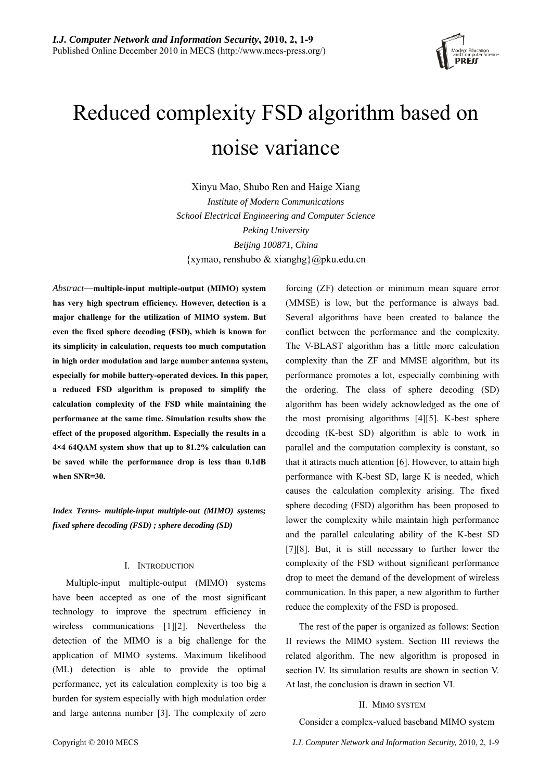

# Reduced complexity FSD algorithm based on noise variance

Xinyu Mao, Shubo Ren and Haige Xiang *Institute of Modern Communications School Electrical Engineering and Computer Science Peking University Beijing 100871, China*   $\{xymao,$  renshubo & xianghg $\{a\}$ pku.edu.cn

*Abstract*—**multiple-input multiple-output (MIMO) system has very high spectrum efficiency. However, detection is a major challenge for the utilization of MIMO system. But even the fixed sphere decoding (FSD), which is known for its simplicity in calculation, requests too much computation in high order modulation and large number antenna system, especially for mobile battery-operated devices. In this paper, a reduced FSD algorithm is proposed to simplify the calculation complexity of the FSD while maintaining the performance at the same time. Simulation results show the effect of the proposed algorithm. Especially the results in a 4×4 64QAM system show that up to 81.2% calculation can be saved while the performance drop is less than 0.1dB when SNR=30.**

*Index Terms- multiple-input multiple-out (MIMO) systems; fixed sphere decoding (FSD) ; sphere decoding (SD)* 

#### I. INTRODUCTION

Multiple-input multiple-output (MIMO) systems have been accepted as one of the most significant technology to improve the spectrum efficiency in wireless communications [1][2]. Nevertheless the detection of the MIMO is a big challenge for the application of MIMO systems. Maximum likelihood (ML) detection is able to provide the optimal performance, yet its calculation complexity is too big a burden for system especially with high modulation order and large antenna number [3]. The complexity of zero forcing (ZF) detection or minimum mean square error (MMSE) is low, but the performance is always bad. Several algorithms have been created to balance the conflict between the performance and the complexity. The V-BLAST algorithm has a little more calculation complexity than the ZF and MMSE algorithm, but its performance promotes a lot, especially combining with the ordering. The class of sphere decoding (SD) algorithm has been widely acknowledged as the one of the most promising algorithms [4][5]. K-best sphere decoding (K-best SD) algorithm is able to work in parallel and the computation complexity is constant, so that it attracts much attention [6]. However, to attain high performance with K-best SD, large K is needed, which causes the calculation complexity arising. The fixed sphere decoding (FSD) algorithm has been proposed to lower the complexity while maintain high performance and the parallel calculating ability of the K-best SD [7][8]. But, it is still necessary to further lower the complexity of the FSD without significant performance drop to meet the demand of the development of wireless communication. In this paper, a new algorithm to further reduce the complexity of the FSD is proposed.

The rest of the paper is organized as follows: Section II reviews the MIMO system. Section III reviews the related algorithm. The new algorithm is proposed in section IV. Its simulation results are shown in section V. At last, the conclusion is drawn in section VI.

#### II. MIMO SYSTEM

Consider a complex-valued baseband MIMO system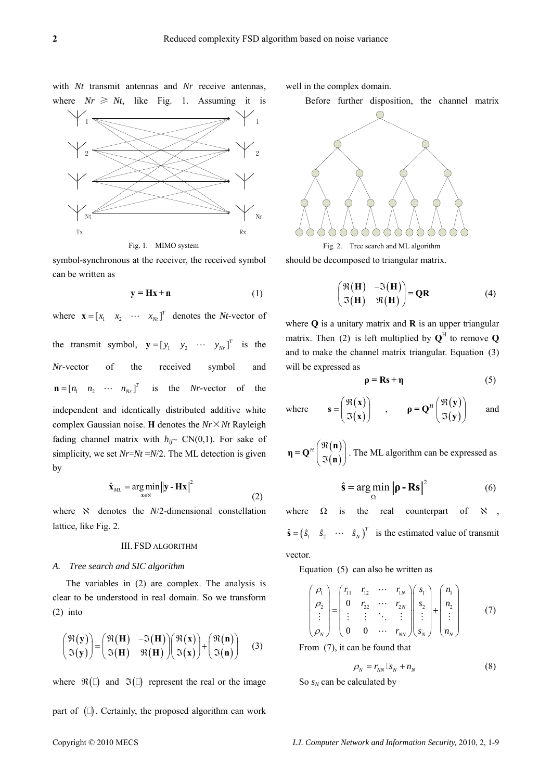with *Nt* transmit antennas and *Nr* receive antennas, where  $Nr \geq Nt$ , like Fig. 1. Assuming it is



<span id="page-1-4"></span>symbol-synchronous at the receiver, the received symbol can be written as

$$
y = Hx + n \tag{1}
$$

<span id="page-1-2"></span>where  $\mathbf{x} = \begin{bmatrix} x_1 & x_2 & \cdots & x_{Nt} \end{bmatrix}^T$  denotes the *Nt*-vector of the transmit symbol,  $\mathbf{y} = \begin{bmatrix} y_1 & y_2 & \cdots & y_{Nr} \end{bmatrix}^T$  is the *Nr*-vector of the received symbol and  $\mathbf{n} = [n_1 \quad n_2 \quad \cdots \quad n_N]$ <sup>T</sup> is the *Nr*-vector of the independent and identically distributed additive white complex Gaussian noise. **H** denotes the *Nr*×*Nt* Rayleigh fading channel matrix with  $h_{ij}$ ~ CN(0,1). For sake of simplicity, we set *Nr*=*Nt* =*N*/2. The ML detection is given by

$$
\hat{\mathbf{x}}_{ML} = \underset{\mathbf{x} \in \mathbb{N}}{\arg \min} \left\| \mathbf{y} - \mathbf{H} \mathbf{x} \right\|^2 \tag{2}
$$

<span id="page-1-0"></span>where  $\aleph$  denotes the  $N/2$ -dimensional constellation lattice, like Fig. 2.

#### III. FSD ALGORITHM

#### *A. Tree search and SIC algorithm*

<span id="page-1-3"></span>The variables in [\(2\)](#page-1-0) are complex. The analysis is clear to be understood in real domain. So we transform [\(2\)](#page-1-0) into

<span id="page-1-1"></span>
$$
\begin{pmatrix} \mathfrak{R}(\mathbf{y}) \\ \mathfrak{I}(\mathbf{y}) \end{pmatrix} = \begin{pmatrix} \mathfrak{R}(\mathbf{H}) & -\mathfrak{I}(\mathbf{H}) \\ \mathfrak{I}(\mathbf{H}) & \mathfrak{R}(\mathbf{H}) \end{pmatrix} \begin{pmatrix} \mathfrak{R}(\mathbf{x}) \\ \mathfrak{I}(\mathbf{x}) \end{pmatrix} + \begin{pmatrix} \mathfrak{R}(\mathbf{n}) \\ \mathfrak{I}(\mathbf{n}) \end{pmatrix} \quad (3)
$$

where  $\mathfrak{R}(\Box)$  and  $\mathfrak{I}(\Box)$  represent the real or the image part of  $(\Box)$ . Certainly, the proposed algorithm can work well in the complex domain.

Before further disposition, the channel matrix



should be decomposed to triangular matrix.

$$
\begin{pmatrix} \mathfrak{R}(\mathbf{H}) & -\mathfrak{I}(\mathbf{H}) \\ \mathfrak{I}(\mathbf{H}) & \mathfrak{R}(\mathbf{H}) \end{pmatrix} = \mathbf{QR} \tag{4}
$$

where **Q** is a unitary matrix and **R** is an upper triangular matrix. Then [\(2\)](#page-1-0) is left multiplied by  $Q^H$  to remove  $Q$ and to make the channel matrix triangular. Equation [\(3\)](#page-1-1) will be expressed as

$$
\rho = \mathbf{R}\mathbf{s} + \mathbf{\eta} \tag{5}
$$

where 
$$
\mathbf{s} = \begin{pmatrix} \Re(\mathbf{x}) \\ \Im(\mathbf{x}) \end{pmatrix}
$$
,  $\mathbf{\rho} = \mathbf{Q}^H \begin{pmatrix} \Re(\mathbf{y}) \\ \Im(\mathbf{y}) \end{pmatrix}$  and

 $(n)$  $\begin{pmatrix} \Re(n) \\ \Im(n) \end{pmatrix}$ **n**  $\mathbf{\eta} = \mathbf{Q}^H \begin{bmatrix} \Re(\mathbf{n}) \\ \Im(\mathbf{n}) \end{bmatrix}$ . The ML algorithm can be expressed as

$$
\hat{\mathbf{s}} = \underset{\Omega}{\arg\min} \left\| \mathbf{p} - \mathbf{Rs} \right\|^2 \tag{6}
$$

where  $\Omega$  is the real counterpart of  $\aleph$  $\hat{\mathbf{s}} = (\hat{s}_1 \quad \hat{s}_2 \quad \cdots \quad \hat{s}_N)^T$  is the estimated value of transmit vector.

Equation [\(5\)](#page-1-2) can also be written as

$$
\begin{pmatrix}\n\rho_1 \\
\rho_2 \\
\vdots \\
\rho_N\n\end{pmatrix} = \begin{pmatrix}\nr_{11} & r_{12} & \cdots & r_{1N} \\
0 & r_{22} & \cdots & r_{2N} \\
\vdots & \vdots & \ddots & \vdots \\
0 & 0 & \cdots & r_{NN}\n\end{pmatrix} \begin{pmatrix}\ns_1 \\
s_2 \\
\vdots \\
s_N\n\end{pmatrix} + \begin{pmatrix}\nn_1 \\
n_2 \\
\vdots \\
n_N\n\end{pmatrix}
$$
\n(7)

From [\(7\)](#page-1-3), it can be found that

$$
\rho_N = r_{NN} \Box s_N + n_N \tag{8}
$$

So  $s_N$  can be calculated by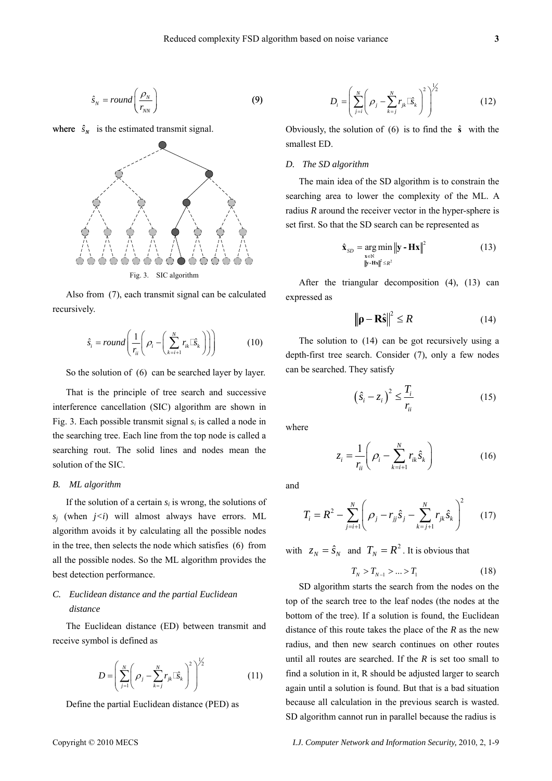$$
\hat{s}_N = round\left(\frac{\rho_N}{r_{NN}}\right) \tag{9}
$$

where  $\hat{s}_N$  is the estimated transmit signal.



<span id="page-2-1"></span><span id="page-2-0"></span>Also from [\(7\),](#page-1-3) each transmit signal can be calculated recursively.

$$
\hat{s}_i = round\left(\frac{1}{r_{ii}}\left(\rho_i - \left(\sum_{k=i+1}^N r_{ik}\hat{\mathbb{E}}_k\right)\right)\right) \tag{10}
$$

So the solution of [\(6\)](#page-1-0) can be searched layer by layer.

<span id="page-2-3"></span>That is the principle of tree search and successive interference cancellation (SIC) algorithm are shown in Fig. 3. Each possible transmit signal *si* is called a node in the searching tree. Each line from the top node is called a searching rout. The solid lines and nodes mean the solution of the SIC.

#### *B. ML algorithm*

If the solution of a certain  $s_i$  is wrong, the solutions of  $s_i$  (when  $j \lt i$ ) will almost always have errors. ML algorithm avoids it by calculating all the possible nodes in the tree, then selects the node which satisfies [\(6\)](#page-1-0) from all the possible nodes. So the ML algorithm provides the best detection performance.

## <span id="page-2-2"></span>*C. Euclidean distance and the partial Euclidean distance*

The Euclidean distance (ED) between transmit and receive symbol is defined as

$$
D = \left(\sum_{j=1}^{N} \left(\rho_j - \sum_{k=j}^{N} r_{jk} \mathbb{E}_{k}\right)^2\right)^{1/2}
$$
 (11)

Define the partial Euclidean distance (PED) as

$$
D_i = \left(\sum_{j=i}^N \left(\rho_j - \sum_{k=j}^N r_{jk} \mathbb{E}_{k}\right)^2\right)^{\frac{1}{2}}
$$
(12)

 $\overline{1}$  2

Obviously, the solution of  $(6)$  is to find the  $\hat{s}$  with the smallest ED.

#### *D. The SD algorithm*

The main idea of the SD algorithm is to constrain the searching area to lower the complexity of the ML. A radius *R* around the receiver vector in the hyper-sphere is set first. So that the SD search can be represented as

$$
\hat{\mathbf{x}}_{SD} = \underset{\|\mathbf{y} - \mathbf{Hx}\|^2 \le R^2}{\arg \min} \|\mathbf{y} - \mathbf{Hx}\|^2
$$
(13)

After the triangular decomposition [\(4\)](#page-1-4), [\(13\)](#page-2-0) can expressed as

$$
\left\|\mathbf{p} - \mathbf{R}\hat{\mathbf{s}}\right\|^2 \le R \tag{14}
$$

The solution to [\(14\)](#page-2-1) can be got recursively using a depth-first tree search. Consider [\(7\),](#page-1-3) only a few nodes can be searched. They satisfy

$$
\left(\hat{S}_i - z_i\right)^2 \le \frac{T_i}{r_{ii}}\tag{15}
$$

where

$$
z_i = \frac{1}{r_{ii}} \left( \rho_i - \sum_{k=i+1}^{N} r_{ik} \hat{S}_k \right)
$$
 (16)

and

$$
T_i = R^2 - \sum_{j=i+1}^{N} \left( \rho_j - r_{jj} \hat{s}_j - \sum_{k=j+1}^{N} r_{jk} \hat{s}_k \right)^2 \tag{17}
$$

with  $z_N = \hat{s}_N$  and  $T_N = R^2$ . It is obvious that

$$
T_N > T_{N-1} > \dots > T_1 \tag{18}
$$

SD algorithm starts the search from the nodes on the top of the search tree to the leaf nodes (the nodes at the bottom of the tree). If a solution is found, the Euclidean distance of this route takes the place of the *R* as the new radius, and then new search continues on other routes until all routes are searched. If the *R* is set too small to find a solution in it, R should be adjusted larger to search again until a solution is found. But that is a bad situation because all calculation in the previous search is wasted. SD algorithm cannot run in parallel because the radius is

Copyright © 2010 MECS *I.J. Computer Network and Information Security,* 2010, 2, 1-9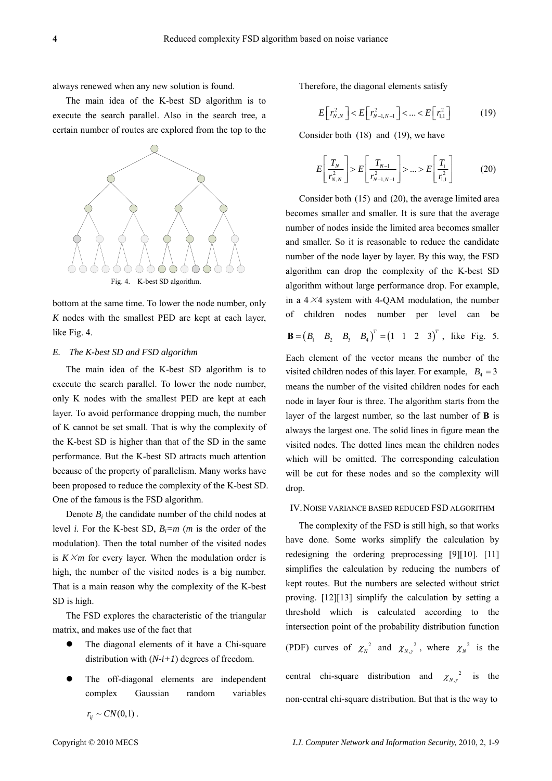always renewed when any new solution is found.

<span id="page-3-0"></span>The main idea of the K-best SD algorithm is to execute the search parallel. Also in the search tree, a certain number of routes are explored from the top to the

<span id="page-3-1"></span>

bottom at the same time. To lower the node number, only *K* nodes with the smallest PED are kept at each layer, like Fig. 4.

#### *E. The K-best SD and FSD algorithm*

The main idea of the K-best SD algorithm is to execute the search parallel. To lower the node number, only K nodes with the smallest PED are kept at each layer. To avoid performance dropping much, the number of K cannot be set small. That is why the complexity of the K-best SD is higher than that of the SD in the same performance. But the K-best SD attracts much attention because of the property of parallelism. Many works have been proposed to reduce the complexity of the K-best SD. One of the famous is the FSD algorithm.

Denote *Bi* the candidate number of the child nodes at level *i*. For the K-best SD, *Bi=m* (*m* is the order of the modulation). Then the total number of the visited nodes is  $K \times m$  for every layer. When the modulation order is high, the number of the visited nodes is a big number. That is a main reason why the complexity of the K-best SD is high.

The FSD explores the characteristic of the triangular matrix, and makes use of the fact that

- The diagonal elements of it have a Chi-square distribution with  $(N-i+1)$  degrees of freedom.
- The off-diagonal elements are independent complex Gaussian random variables

Therefore, the diagonal elements satisfy

$$
E\left[r_{N,N}^2\right] < E\left[r_{N-1,N-1}^2\right] < \dots < E\left[r_{1,1}^2\right] \tag{19}
$$

Consider both [\(18\)](#page-2-2) and [\(19\),](#page-3-0) we have

$$
E\left[\frac{T_{N}}{r_{N,N}^{2}}\right] > E\left[\frac{T_{N-1}}{r_{N-1,N-1}^{2}}\right] > ... > E\left[\frac{T_{1}}{r_{1,1}^{2}}\right]
$$
(20)

Consider both [\(15\)](#page-2-3) and [\(20\),](#page-3-1) the average limited area becomes smaller and smaller. It is sure that the average number of nodes inside the limited area becomes smaller and smaller. So it is reasonable to reduce the candidate number of the node layer by layer. By this way, the FSD algorithm can drop the complexity of the K-best SD algorithm without large performance drop. For example, in a  $4 \times 4$  system with 4-QAM modulation, the number of children nodes number per level can be

$$
\mathbf{B} = (B_1 \quad B_2 \quad B_3 \quad B_4)^T = (1 \quad 1 \quad 2 \quad 3)^T, \text{ like Fig. 5.}
$$

Each element of the vector means the number of the visited children nodes of this layer. For example,  $B_4 = 3$ means the number of the visited children nodes for each node in layer four is three. The algorithm starts from the layer of the largest number, so the last number of **B** is always the largest one. The solid lines in figure mean the visited nodes. The dotted lines mean the children nodes which will be omitted. The corresponding calculation will be cut for these nodes and so the complexity will drop.

#### IV.NOISE VARIANCE BASED REDUCED FSD ALGORITHM

The complexity of the FSD is still high, so that works have done. Some works simplify the calculation by redesigning the ordering preprocessing [9][10]. [11] simplifies the calculation by reducing the numbers of kept routes. But the numbers are selected without strict proving. [12][13] simplify the calculation by setting a threshold which is calculated according to the intersection point of the probability distribution function (PDF) curves of  $\chi_N^2$  and  $\chi_{N,\gamma}^2$ , where  $\chi_N^2$  is the central chi-square distribution and  $\chi_{N_y}^2$  is the non-central chi-square distribution. But that is the way to

 $r_{ii} \sim CN(0,1)$ .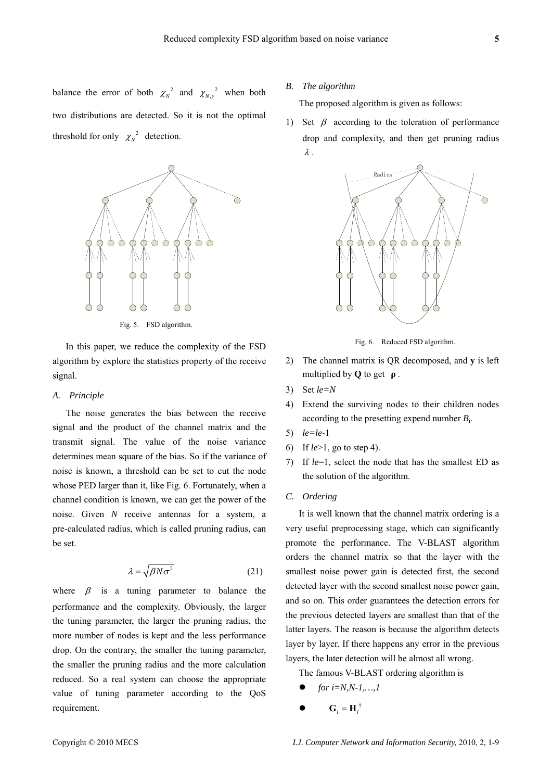

Fig. 5. FSD algorithm.

In this paper, we reduce the complexity of the FSD algorithm by explore the statistics property of the receive signal.

#### <span id="page-4-0"></span>*A. Principle*

The noise generates the bias between the receive signal and the product of the channel matrix and the transmit signal. The value of the noise variance determines mean square of the bias. So if the variance of noise is known, a threshold can be set to cut the node whose PED larger than it, like Fig. 6. Fortunately, when a channel condition is known, we can get the power of the noise. Given *N* receive antennas for a system, a pre-calculated radius, which is called pruning radius, can be set.

$$
\lambda = \sqrt{\beta N \sigma^2} \tag{21}
$$

where  $\beta$  is a tuning parameter to balance the performance and the complexity. Obviously, the larger the tuning parameter, the larger the pruning radius, the more number of nodes is kept and the less performance drop. On the contrary, the smaller the tuning parameter, the smaller the pruning radius and the more calculation reduced. So a real system can choose the appropriate value of tuning parameter according to the QoS requirement.

#### *B. The algorithm*

The proposed algorithm is given as follows:

1) Set  $\beta$  according to the toleration of performance drop and complexity, and then get pruning radius λ .



Fig. 6. Reduced FSD algorithm.

- 2) The channel matrix is QR decomposed, and **y** is left multiplied by **Q** to get **ρ** .
- 3) Set *le=N*
- 4) Extend the surviving nodes to their children nodes according to the presetting expend number *B*i.
- 5) *le=le*-1
- 6) If *le*>1, go to step [4\)](#page-4-0).
- 7) If *le*=1, select the node that has the smallest ED as the solution of the algorithm.

#### *C. Ordering*

It is well known that the channel matrix ordering is a very useful preprocessing stage, which can significantly promote the performance. The V-BLAST algorithm orders the channel matrix so that the layer with the smallest noise power gain is detected first, the second detected layer with the second smallest noise power gain, and so on. This order guarantees the detection errors for the previous detected layers are smallest than that of the latter layers. The reason is because the algorithm detects layer by layer. If there happens any error in the previous layers, the later detection will be almost all wrong.

The famous V-BLAST ordering algorithm is

- z *for i=N,N-1,…,1*
- $\mathbf{G}_i = \mathbf{H}_i^{\dagger}$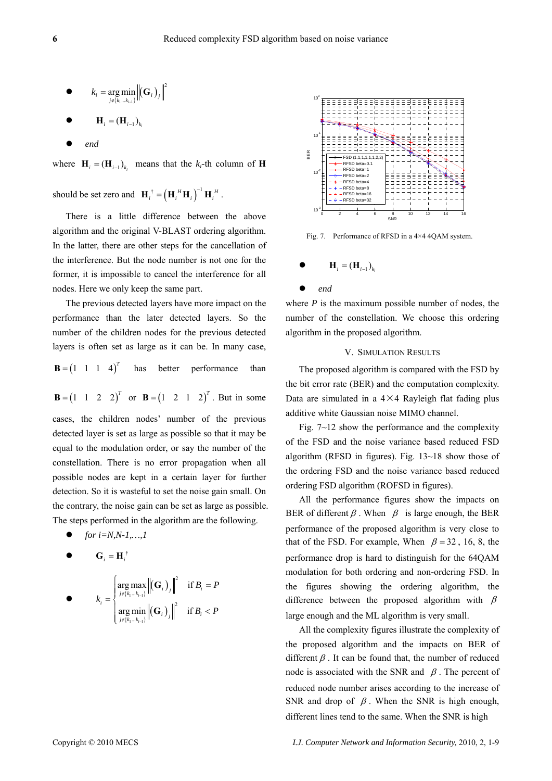$$
\bullet \qquad k_i = \underset{j \in \{k_1 \ldots k_{i-1}\}}{\arg \min} \left\| \left(\mathbf{G}_i\right)_j \right\|^2
$$

$$
\bullet \qquad \mathbf{H}_{i} = (\mathbf{H}_{i-1})_{k_{i}}
$$

z *end*

where  $\mathbf{H}_i = (\mathbf{H}_{i-1})_{k_i}$  means that the  $k_i$ -th column of **H** 

should be set zero and  $\mathbf{H}_{i}^{\dagger} = (\mathbf{H}_{i}^H \mathbf{H}_{i})^{-1} \mathbf{H}_{i}^H$  ${\bf H}_i^{\dagger} = ({\bf H}_i^{\;H} {\bf H}_i)^{-1} {\bf H}_i^{\;H}$ .

There is a little difference between the above algorithm and the original V-BLAST ordering algorithm. In the latter, there are other steps for the cancellation of the interference. But the node number is not one for the former, it is impossible to cancel the interference for all nodes. Here we only keep the same part.

 $\mathbf{B} = (1 \ 1 \ 1 \ 4)^T$ The previous detected layers have more impact on the performance than the later detected layers. So the number of the children nodes for the previous detected layers is often set as large as it can be. In many case, has better performance than

 $\mathbf{B} = (1 \ 1 \ 2 \ 2)^T$  or  $\mathbf{B} = (1 \ 2 \ 1 \ 2)^T$ . But in some

cases, the children nodes' number of the previous detected layer is set as large as possible so that it may be equal to the modulation order, or say the number of the constellation. There is no error propagation when all possible nodes are kept in a certain layer for further detection. So it is wasteful to set the noise gain small. On the contrary, the noise gain can be set as large as possible. The steps performed in the algorithm are the following.

z *for i=N,N-1,…,1* 

$$
\bullet \qquad \mathbf{G}_i = \mathbf{H}_i^{\dagger}
$$

$$
k_i = \begin{cases} \arg \max_{j \in \{k_1 \dots k_{i-1}\}} \left\| \left(\mathbf{G}_i\right)_j \right\|^2 & \text{if } B_i = P \\ \arg \min_{j \in \{k_1 \dots k_{i-1}\}} \left\| \left(\mathbf{G}_i\right)_j \right\|^2 & \text{if } B_i < P \end{cases}
$$



Fig. 7. Performance of RFSD in a 4×4 4QAM system.

$$
\bullet \qquad \mathbf{H}_{i} = (\mathbf{H}_{i-1})_{k_{i}}
$$

z *end*

where  $P$  is the maximum possible number of nodes, the number of the constellation. We choose this ordering algorithm in the proposed algorithm.

### V. SIMULATION RESULTS

The proposed algorithm is compared with the FSD by the bit error rate (BER) and the computation complexity. Data are simulated in a  $4 \times 4$  Rayleigh flat fading plus additive white Gaussian noise MIMO channel.

Fig. 7~12 show the performance and the complexity of the FSD and the noise variance based reduced FSD algorithm (RFSD in figures). Fig. 13~18 show those of the ordering FSD and the noise variance based reduced ordering FSD algorithm (ROFSD in figures).

All the performance figures show the impacts on BER of different  $\beta$ . When  $\beta$  is large enough, the BER performance of the proposed algorithm is very close to that of the FSD. For example, When  $\beta = 32$ , 16, 8, the performance drop is hard to distinguish for the 64QAM modulation for both ordering and non-ordering FSD. In the figures showing the ordering algorithm, the difference between the proposed algorithm with  $\beta$ large enough and the ML algorithm is very small.

All the complexity figures illustrate the complexity of the proposed algorithm and the impacts on BER of different  $\beta$ . It can be found that, the number of reduced node is associated with the SNR and  $\beta$ . The percent of reduced node number arises according to the increase of SNR and drop of  $\beta$ . When the SNR is high enough, different lines tend to the same. When the SNR is high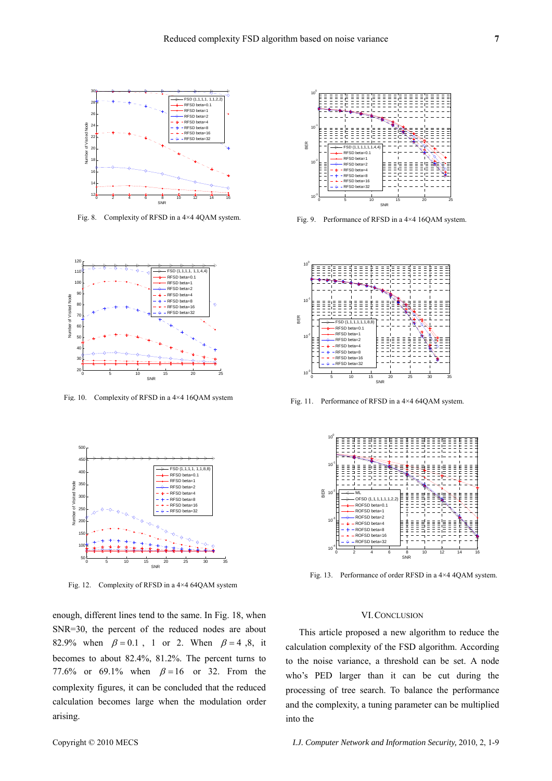

Fig. 8. Complexity of RFSD in a 4×4 4QAM system.



Fig. 10. Complexity of RFSD in a 4×4 16QAM system



Fig. 12. Complexity of RFSD in a 4×4 64QAM system

enough, different lines tend to the same. In Fig. 18, when SNR=30, the percent of the reduced nodes are about 82.9% when  $\beta = 0.1$ , 1 or 2. When  $\beta = 4, 8$ , it becomes to about 82.4%, 81.2%. The percent turns to 77.6% or 69.1% when  $\beta = 16$  or 32. From the complexity figures, it can be concluded that the reduced calculation becomes large when the modulation order arising.



Fig. 9. Performance of RFSD in a 4×4 16QAM system.



Fig. 11. Performance of RFSD in a 4×4 64QAM system.



Fig. 13. Performance of order RFSD in a 4×4 4QAM system.

#### VI.CONCLUSION

This article proposed a new algorithm to reduce the calculation complexity of the FSD algorithm. According to the noise variance, a threshold can be set. A node who's PED larger than it can be cut during the processing of tree search. To balance the performance and the complexity, a tuning parameter can be multiplied into the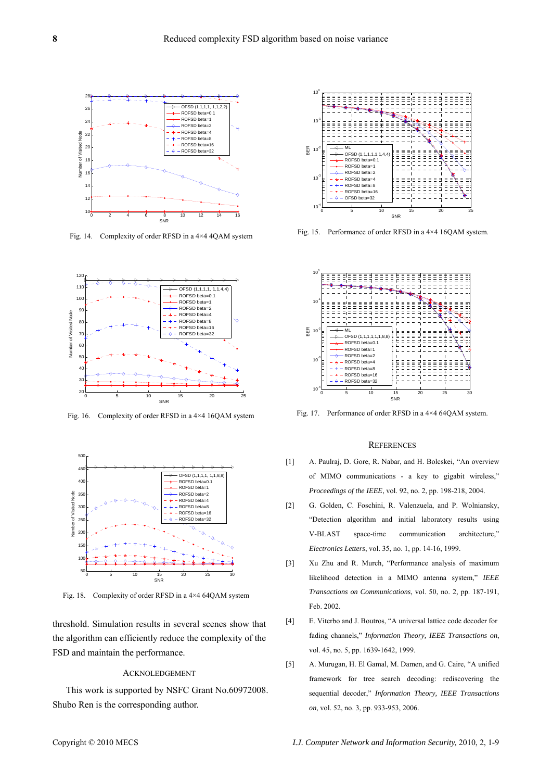

Fig. 14. Complexity of order RFSD in a 4×4 4QAM system



Fig. 16. Complexity of order RFSD in a 4×4 16QAM system



Fig. 18. Complexity of order RFSD in a 4×4 64QAM system

threshold. Simulation results in several scenes show that the algorithm can efficiently reduce the complexity of the FSD and maintain the performance.

#### ACKNOLEDGEMENT

This work is supported by NSFC Grant No.60972008. Shubo Ren is the corresponding author.



Fig. 15. Performance of order RFSD in a 4×4 16QAM system.



Fig. 17. Performance of order RFSD in a 4×4 64QAM system.

#### **REFERENCES**

- [1] A. Paulraj, D. Gore, R. Nabar, and H. Bolcskei, "An overview of MIMO communications - a key to gigabit wireless," *Proceedings of the IEEE*, vol. 92, no. 2, pp. 198-218, 2004.
- [2] G. Golden, C. Foschini, R. Valenzuela, and P. Wolniansky, "Detection algorithm and initial laboratory results using V-BLAST space-time communication architecture," *Electronics Letters*, vol. 35, no. 1, pp. 14-16, 1999.
- [3] Xu Zhu and R. Murch, "Performance analysis of maximum likelihood detection in a MIMO antenna system," *IEEE Transactions on Communications*, vol. 50, no. 2, pp. 187-191, Feb. 2002.
- [4] E. Viterbo and J. Boutros, "A universal lattice code decoder for fading channels," *Information Theory, IEEE Transactions on*, vol. 45, no. 5, pp. 1639-1642, 1999.
- [5] A. Murugan, H. El Gamal, M. Damen, and G. Caire, "A unified framework for tree search decoding: rediscovering the sequential decoder," *Information Theory, IEEE Transactions on*, vol. 52, no. 3, pp. 933-953, 2006.